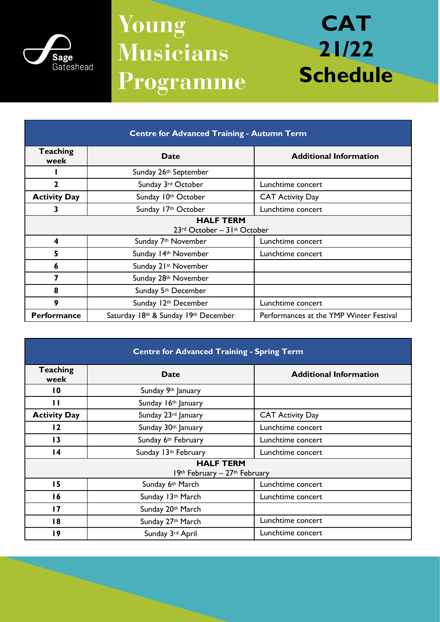

## Young **Musicians** Programme

## **CAT 21/22 Schedule**

| <b>Centre for Advanced Training - Autumn Term</b>                           |                                      |                                         |  |
|-----------------------------------------------------------------------------|--------------------------------------|-----------------------------------------|--|
| <b>Teaching</b><br>week                                                     | <b>Date</b>                          | <b>Additional Information</b>           |  |
|                                                                             | Sunday 26th September                |                                         |  |
| $\mathbf{2}$                                                                | Sunday 3rd October                   | Lunchtime concert                       |  |
| <b>Activity Day</b>                                                         | Sunday 10th October                  | <b>CAT Activity Day</b>                 |  |
| 3                                                                           | Sunday 17th October                  | Lunchtime concert                       |  |
| <b>HALF TERM</b><br>$23$ <sup>rd</sup> October – $31$ <sup>st</sup> October |                                      |                                         |  |
| 4                                                                           | Sunday 7 <sup>th</sup> November      | Lunchtime concert                       |  |
| 5                                                                           | Sunday 14th November                 | Lunchtime concert                       |  |
| 6                                                                           | Sunday 21 <sup>st</sup> November     |                                         |  |
| 7                                                                           | Sunday 28th November                 |                                         |  |
| 8                                                                           | Sunday 5 <sup>th</sup> December      |                                         |  |
| 9                                                                           | Sunday 12th December                 | Lunchtime concert                       |  |
| <b>Performance</b>                                                          | Saturday 18th & Sunday 19th December | Performances at the YMP Winter Festival |  |

| <b>Centre for Advanced Training - Spring Term</b> |                      |                               |  |  |
|---------------------------------------------------|----------------------|-------------------------------|--|--|
| <b>Teaching</b><br>week                           | <b>Date</b>          | <b>Additional Information</b> |  |  |
| $\overline{10}$                                   | Sunday 9th January   |                               |  |  |
| П                                                 | Sunday 16th January  |                               |  |  |
| <b>Activity Day</b>                               | Sunday 23rd January  | <b>CAT Activity Day</b>       |  |  |
| 12                                                | Sunday 30th January  | Lunchtime concert             |  |  |
| 13                                                | Sunday 6th February  | Lunchtime concert             |  |  |
| $\overline{14}$                                   | Sunday 13th February | Lunchtime concert             |  |  |
| <b>HALF TERM</b><br>19th February - 27th February |                      |                               |  |  |
| 15                                                | Sunday 6th March     | Lunchtime concert             |  |  |
| 16                                                | Sunday 13th March    | Lunchtime concert             |  |  |
| $\overline{17}$                                   | Sunday 20th March    |                               |  |  |
| 18                                                | Sunday 27th March    | Lunchtime concert             |  |  |
| 19                                                | Sunday 3rd April     | Lunchtime concert             |  |  |